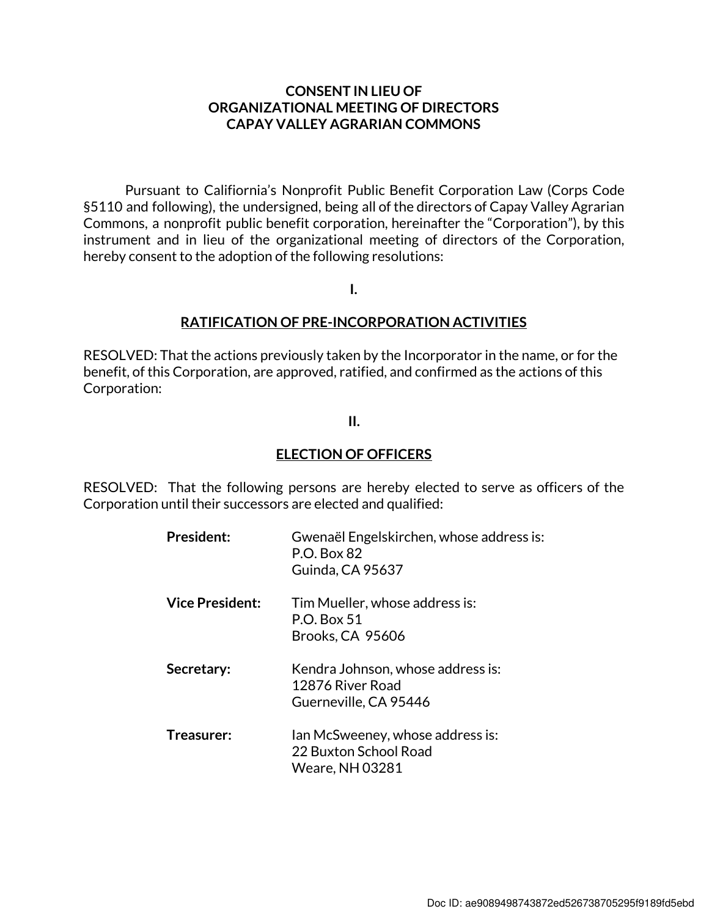#### CONSENT IN LIEU OF ORGANIZATIONAL MEETING OF DIRECTORS CAPAY VALLEY AGRARIAN COMMONS

Pursuant to Califiornia's Nonprofit Public Benefit Corporation Law (Corps Code §5110 and following), the undersigned, being all of the directors of Capay Valley Agrarian Commons, a nonprofit public benefit corporation, hereinafter the "Corporation"), by this instrument and in lieu of the organizational meeting of directors of the Corporation, hereby consent to the adoption of the following resolutions:

I.

#### RATIFICATION OF PRE-INCORPORATION ACTIVITIES

RESOLVED: That the actions previously taken by the Incorporator in the name, or for the benefit, of this Corporation, are approved, ratified, and confirmed as the actions of this Corporation:

#### II.

#### ELECTION OF OFFICERS

RESOLVED: That the following persons are hereby elected to serve as officers of the Corporation until their successors are elected and qualified:

| <b>President:</b>      | Gwenaël Engelskirchen, whose address is:<br>P.O. Box 82<br>Guinda, CA 95637         |
|------------------------|-------------------------------------------------------------------------------------|
| <b>Vice President:</b> | Tim Mueller, whose address is:<br>P.O. Box 51<br>Brooks, CA 95606                   |
| Secretary:             | Kendra Johnson, whose address is:<br>12876 River Road<br>Guerneville, CA 95446      |
| Treasurer:             | Ian McSweeney, whose address is:<br>22 Buxton School Road<br><b>Weare, NH 03281</b> |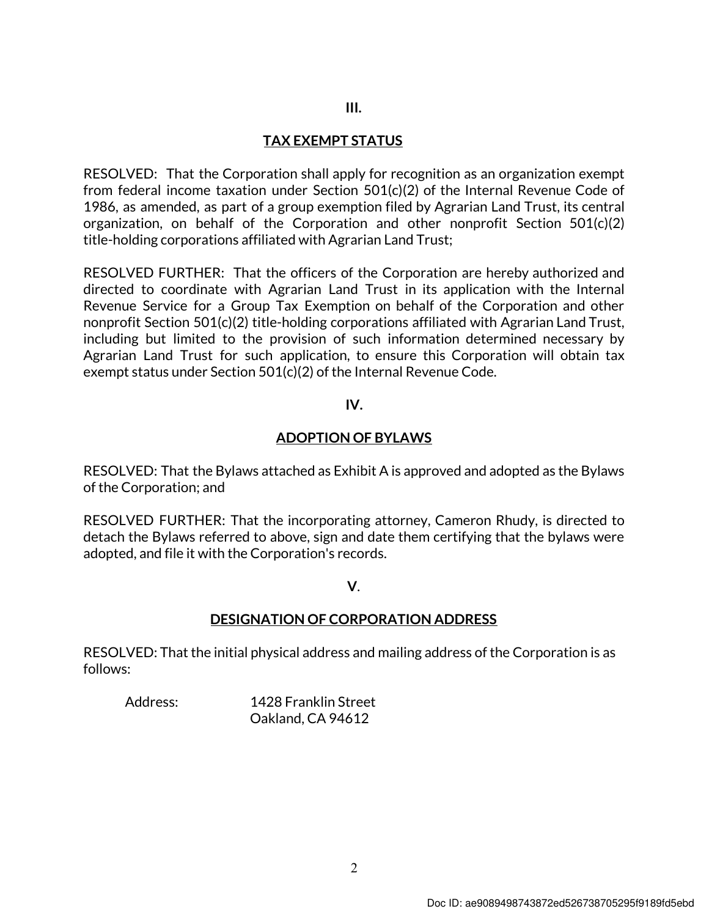#### III.

#### TAX EXEMPT STATUS

RESOLVED: That the Corporation shall apply for recognition as an organization exempt from federal income taxation under Section 501(c)(2) of the Internal Revenue Code of 1986, as amended, as part of a group exemption filed by Agrarian Land Trust, its central organization, on behalf of the Corporation and other nonprofit Section 501(c)(2) title-holding corporations affiliated with Agrarian Land Trust;

RESOLVED FURTHER: That the officers of the Corporation are hereby authorized and directed to coordinate with Agrarian Land Trust in its application with the Internal Revenue Service for a Group Tax Exemption on behalf of the Corporation and other nonprofit Section 501(c)(2) title-holding corporations affiliated with Agrarian Land Trust, including but limited to the provision of such information determined necessary by Agrarian Land Trust for such application, to ensure this Corporation will obtain tax exempt status under Section 501(c)(2) of the Internal Revenue Code.

#### IV.

#### ADOPTION OF BYLAWS

RESOLVED: That the Bylaws attached as Exhibit A is approved and adopted as the Bylaws of the Corporation; and

RESOLVED FURTHER: That the incorporating attorney, Cameron Rhudy, is directed to detach the Bylaws referred to above, sign and date them certifying that the bylaws were adopted, and file it with the Corporation's records.

V.

#### DESIGNATION OF CORPORATION ADDRESS

RESOLVED: That the initial physical address and mailing address of the Corporation is as follows:

Address: 1428 Franklin Street Oakland, CA 94612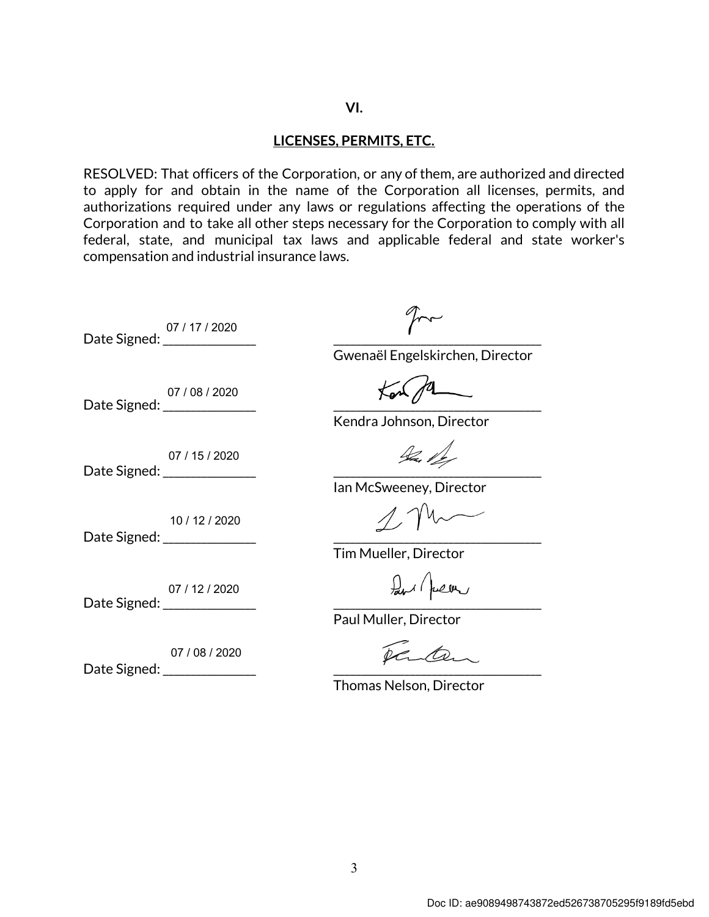#### VI.

#### LICENSES, PERMITS, ETC.

RESOLVED: That officers of the Corporation, or any of them, are authorized and directed to apply for and obtain in the name of the Corporation all licenses, permits, and authorizations required under any laws or regulations affecting the operations of the Corporation and to take all other steps necessary for the Corporation to comply with all federal, state, and municipal tax laws and applicable federal and state worker's compensation and industrial insurance laws.

Date Signed: \_\_\_\_\_\_\_\_\_\_\_\_\_\_\_\_\_ \_\_\_\_\_\_\_\_\_\_\_\_\_\_\_\_\_\_\_\_\_\_\_\_\_\_\_\_\_\_\_\_\_\_\_\_\_\_ 07 / 17 / 2020

 $2\pi$ 

Gwenaël Engelskirchen, Director

Kendra Johnson, Director

Ian McSweeney, Director

Tim Mueller, Director

Paul Muller, Director

Darten,

Thomas Nelson, Director

Date Signed: \_\_\_\_\_\_\_\_\_\_\_\_\_\_\_\_\_ \_\_\_\_\_\_\_\_\_\_\_\_\_\_\_\_\_\_\_\_\_\_\_\_\_\_\_\_\_\_\_\_\_\_\_\_\_\_ 07 / 08 / 2020

Date Signed: \_\_\_\_\_\_\_\_\_\_\_\_\_\_\_\_\_ \_\_\_\_\_\_\_\_\_\_\_\_\_\_\_\_\_\_\_\_\_\_\_\_\_\_\_\_\_\_\_\_\_\_\_\_\_\_ 07 / 15 / 2020

10 / 12 / 2020

Date Signed:

Date Signed: \_\_\_\_\_\_\_\_\_\_\_\_\_\_\_\_\_ \_\_\_\_\_\_\_\_\_\_\_\_\_\_\_\_\_\_\_\_\_\_\_\_\_\_\_\_\_\_\_\_\_\_\_\_\_\_ 07 / 12 / 2020

Date Signed: 07 / 08 / 2020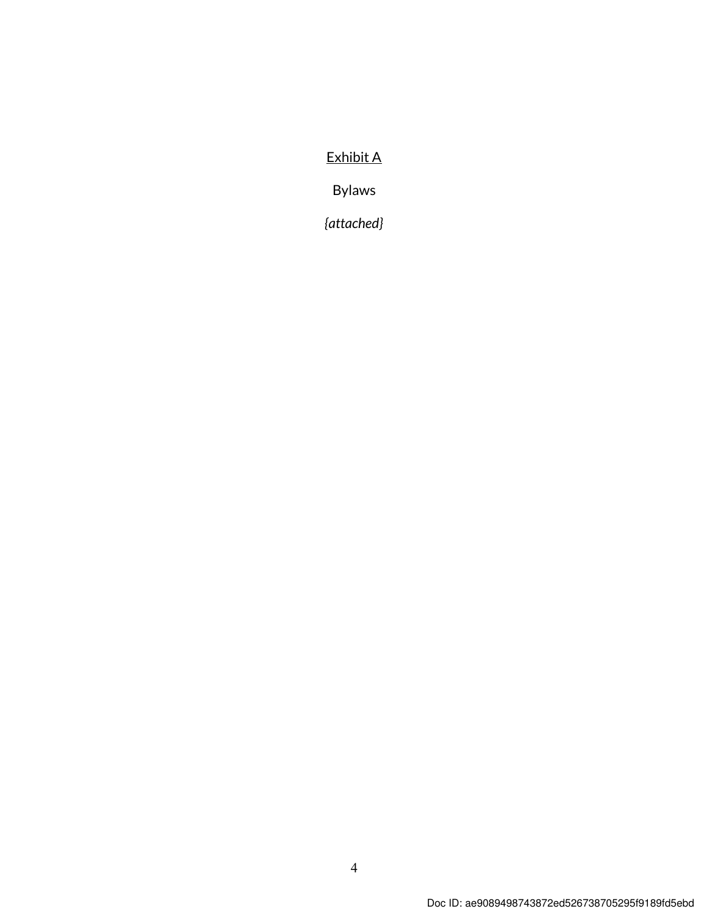#### Exhibit A

Bylaws

{attached}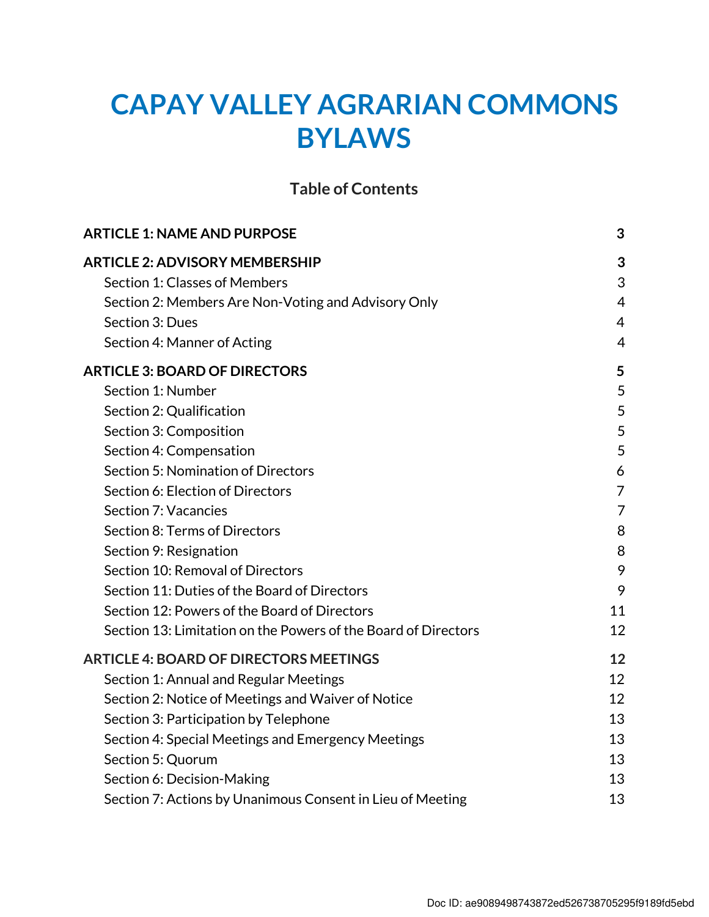# CAPAY VALLEY AGRARIAN COMMONS BYLAWS

#### Table of Contents

| <b>ARTICLE 1: NAME AND PURPOSE</b>                             | 3              |
|----------------------------------------------------------------|----------------|
| <b>ARTICLE 2: ADVISORY MEMBERSHIP</b>                          | 3              |
| Section 1: Classes of Members                                  | 3              |
| Section 2: Members Are Non-Voting and Advisory Only            | $\overline{4}$ |
| Section 3: Dues                                                | 4              |
| Section 4: Manner of Acting                                    | $\overline{4}$ |
| <b>ARTICLE 3: BOARD OF DIRECTORS</b>                           | 5              |
| Section 1: Number                                              | 5              |
| Section 2: Qualification                                       | 5              |
| Section 3: Composition                                         | 5              |
| Section 4: Compensation                                        | 5              |
| Section 5: Nomination of Directors                             | 6              |
| Section 6: Election of Directors                               | $\overline{7}$ |
| Section 7: Vacancies                                           | $\overline{7}$ |
| Section 8: Terms of Directors                                  | 8              |
| Section 9: Resignation                                         | 8              |
| Section 10: Removal of Directors                               | 9              |
| Section 11: Duties of the Board of Directors                   | 9              |
| Section 12: Powers of the Board of Directors                   | 11             |
| Section 13: Limitation on the Powers of the Board of Directors | 12             |
| <b>ARTICLE 4: BOARD OF DIRECTORS MEETINGS</b>                  | 12             |
| Section 1: Annual and Regular Meetings                         | 12             |
| Section 2: Notice of Meetings and Waiver of Notice             | 12             |
| Section 3: Participation by Telephone                          | 13             |
| Section 4: Special Meetings and Emergency Meetings             | 13             |
| Section 5: Quorum                                              | 13             |
| Section 6: Decision-Making                                     | 13             |
| Section 7: Actions by Unanimous Consent in Lieu of Meeting     | 13             |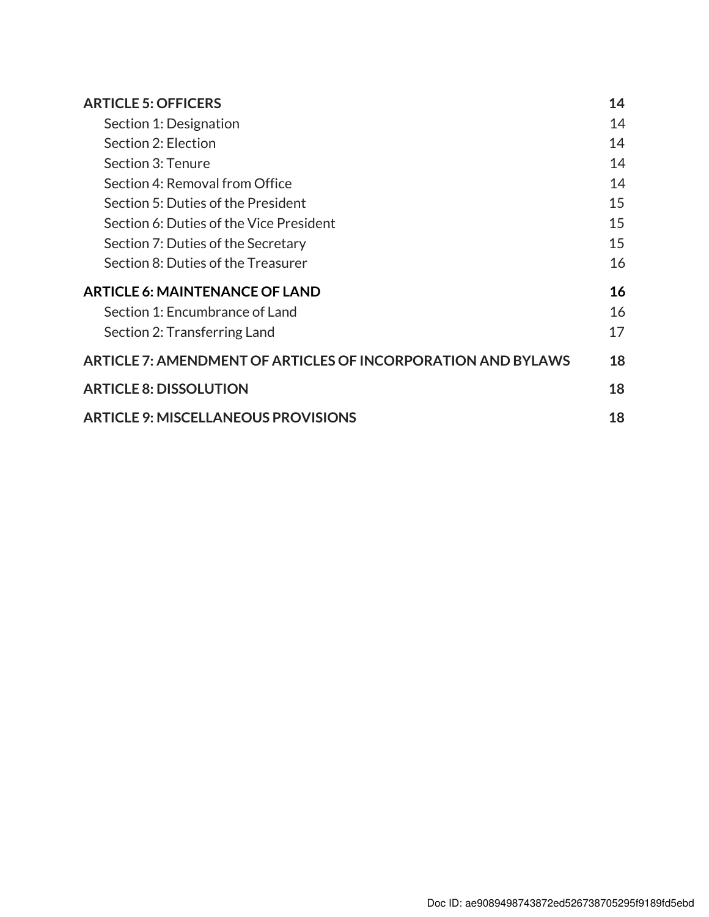| <b>ARTICLE 5: OFFICERS</b>                                   | 14 |
|--------------------------------------------------------------|----|
| Section 1: Designation                                       | 14 |
| Section 2: Election                                          | 14 |
| Section 3: Tenure                                            | 14 |
| Section 4: Removal from Office                               | 14 |
| Section 5: Duties of the President                           | 15 |
| Section 6: Duties of the Vice President                      | 15 |
| Section 7: Duties of the Secretary                           | 15 |
| Section 8: Duties of the Treasurer                           | 16 |
| <b>ARTICLE 6: MAINTENANCE OF LAND</b>                        | 16 |
| Section 1: Encumbrance of Land                               | 16 |
| Section 2: Transferring Land                                 | 17 |
| ARTICLE 7: AMENDMENT OF ARTICLES OF INCORPORATION AND BYLAWS | 18 |
| <b>ARTICLE 8: DISSOLUTION</b>                                | 18 |
| <b>ARTICLE 9: MISCELLANEOUS PROVISIONS</b>                   | 18 |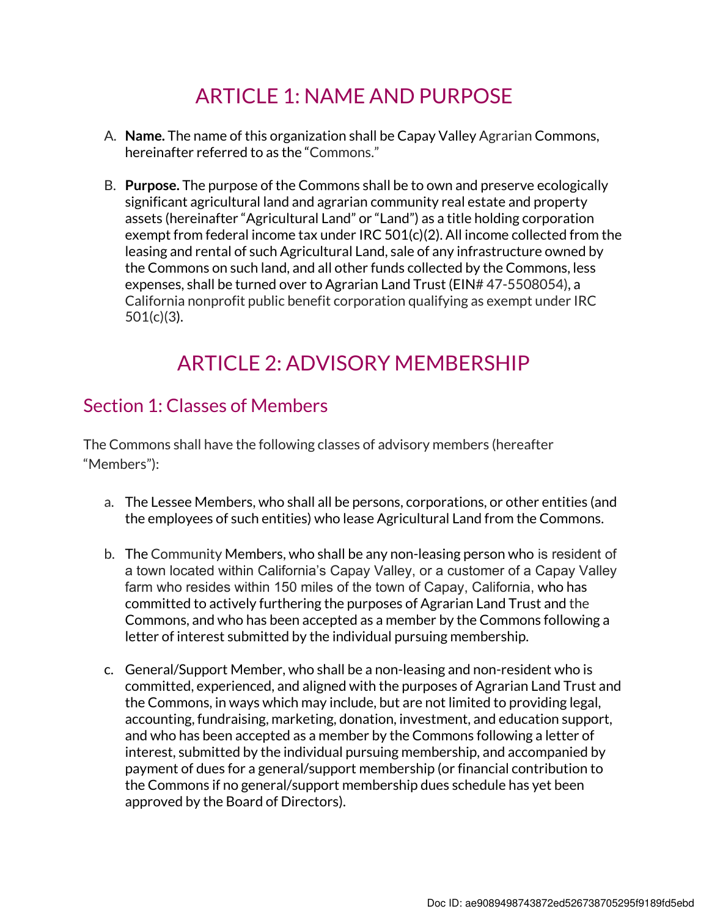## ARTICLE 1: NAME AND PURPOSE

- A. Name. The name of this organization shall be Capay Valley Agrarian Commons, hereinafter referred to as the "Commons."
- B. Purpose. The purpose of the Commons shall be to own and preserve ecologically significant agricultural land and agrarian community real estate and property assets (hereinafter "Agricultural Land" or "Land") as a title holding corporation exempt from federal income tax under IRC 501(c)(2). All income collected from the leasing and rental of such Agricultural Land, sale of any infrastructure owned by the Commons on such land, and all other funds collected by the Commons, less expenses, shall be turned over to Agrarian Land Trust (EIN# 47-5508054), a California nonprofit public benefit corporation qualifying as exempt under IRC 501(c)(3).

## ARTICLE 2: ADVISORY MEMBERSHIP

#### Section 1: Classes of Members

The Commons shall have the following classes of advisory members (hereafter "Members"):

- a. The Lessee Members, who shall all be persons, corporations, or other entities (and the employees of such entities) who lease Agricultural Land from the Commons.
- b. The Community Members, who shall be any non-leasing person who is resident of a town located within California's Capay Valley, or a customer of a Capay Valley farm who resides within 150 miles of the town of Capay, California, who has committed to actively furthering the purposes of Agrarian Land Trust and the Commons, and who has been accepted as a member by the Commons following a letter of interest submitted by the individual pursuing membership.
- c. General/Support Member, who shall be a non-leasing and non-resident who is committed, experienced, and aligned with the purposes of Agrarian Land Trust and the Commons, in ways which may include, but are not limited to providing legal, accounting, fundraising, marketing, donation, investment, and education support, and who has been accepted as a member by the Commons following a letter of interest, submitted by the individual pursuing membership, and accompanied by payment of dues for a general/support membership (or financial contribution to the Commons if no general/support membership dues schedule has yet been approved by the Board of Directors).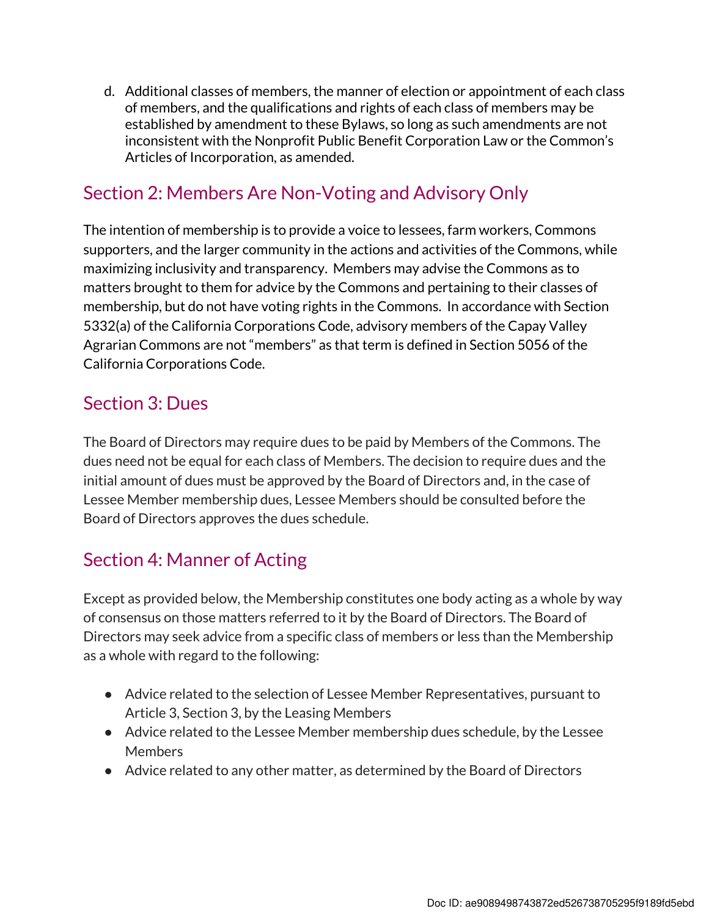d. Additional classes of members, the manner of election or appointment of each class of members, and the qualifications and rights of each class of members may be established by amendment to these Bylaws, so long as such amendments are not inconsistent with the Nonprofit Public Benefit Corporation Law or the Common's Articles of Incorporation, as amended.

#### Section 2: Members Are Non-Voting and Advisory Only

The intention of membership is to provide a voice to lessees, farm workers, Commons supporters, and the larger community in the actions and activities of the Commons, while maximizing inclusivity and transparency. Members may advise the Commons as to matters brought to them for advice by the Commons and pertaining to their classes of membership, but do not have voting rights in the Commons. In accordance with Section 5332(a) of the California Corporations Code, advisory members of the Capay Valley Agrarian Commons are not "members" as that term is defined in Section 5056 of the California Corporations Code.

#### Section 3: Dues

The Board of Directors may require dues to be paid by Members of the Commons. The dues need not be equal for each class of Members. The decision to require dues and the initial amount of dues must be approved by the Board of Directors and, in the case of Lessee Member membership dues, Lessee Members should be consulted before the Board of Directors approves the dues schedule.

## Section 4: Manner of Acting

Except as provided below, the Membership constitutes one body acting as a whole by way of consensus on those matters referred to it by the Board of Directors. The Board of Directors may seek advice from a specific class of members or less than the Membership as a whole with regard to the following:

- Advice related to the selection of Lessee Member Representatives, pursuant to Article 3, Section 3, by the Leasing Members
- Advice related to the Lessee Member membership dues schedule, by the Lessee **Members**
- Advice related to any other matter, as determined by the Board of Directors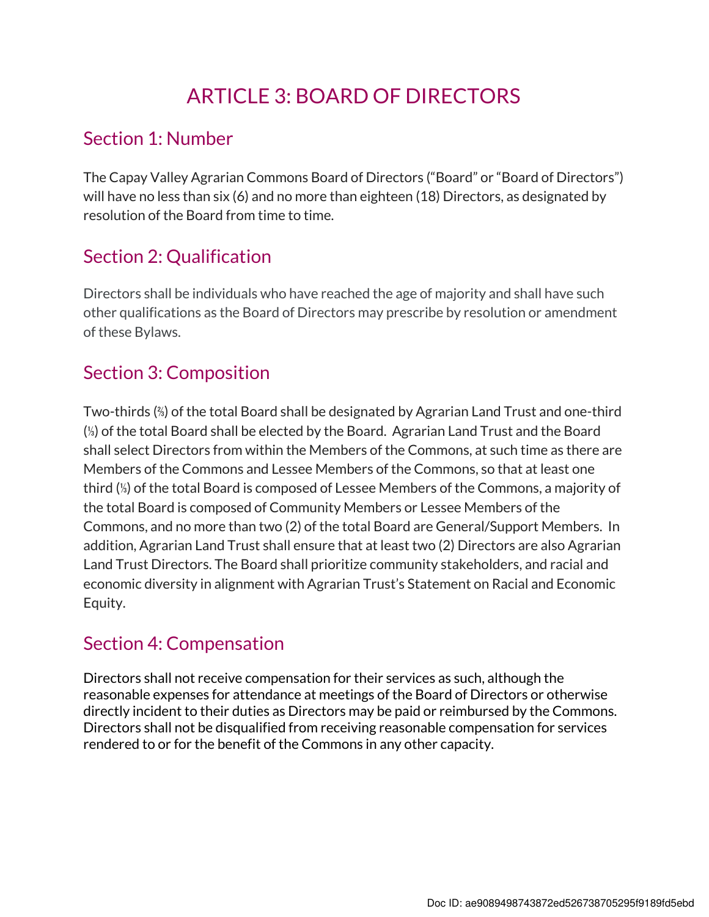## ARTICLE 3: BOARD OF DIRECTORS

#### Section 1: Number

The Capay Valley Agrarian Commons Board of Directors ("Board" or "Board of Directors") will have no less than six (6) and no more than eighteen (18) Directors, as designated by resolution of the Board from time to time.

## Section 2: Qualification

Directors shall be individuals who have reached the age of majority and shall have such other qualifications as the Board of Directors may prescribe by resolution or amendment of these Bylaws.

## Section 3: Composition

Two-thirds (⅔) of the total Board shall be designated by Agrarian Land Trust and one-third (⅓) of the total Board shall be elected by the Board. Agrarian Land Trust and the Board shall select Directors from within the Members of the Commons, at such time as there are Members of the Commons and Lessee Members of the Commons, so that at least one third (⅓) of the total Board is composed of Lessee Members of the Commons, a majority of the total Board is composed of Community Members or Lessee Members of the Commons, and no more than two (2) of the total Board are General/Support Members. In addition, Agrarian Land Trust shall ensure that at least two (2) Directors are also Agrarian Land Trust Directors. The Board shall prioritize community stakeholders, and racial and economic diversity in alignment with Agrarian Trust's Statement on Racial and Economic Equity.

## Section 4: Compensation

Directors shall not receive compensation for their services as such, although the reasonable expenses for attendance at meetings of the Board of Directors or otherwise directly incident to their duties as Directors may be paid or reimbursed by the Commons. Directors shall not be disqualified from receiving reasonable compensation for services rendered to or for the benefit of the Commons in any other capacity.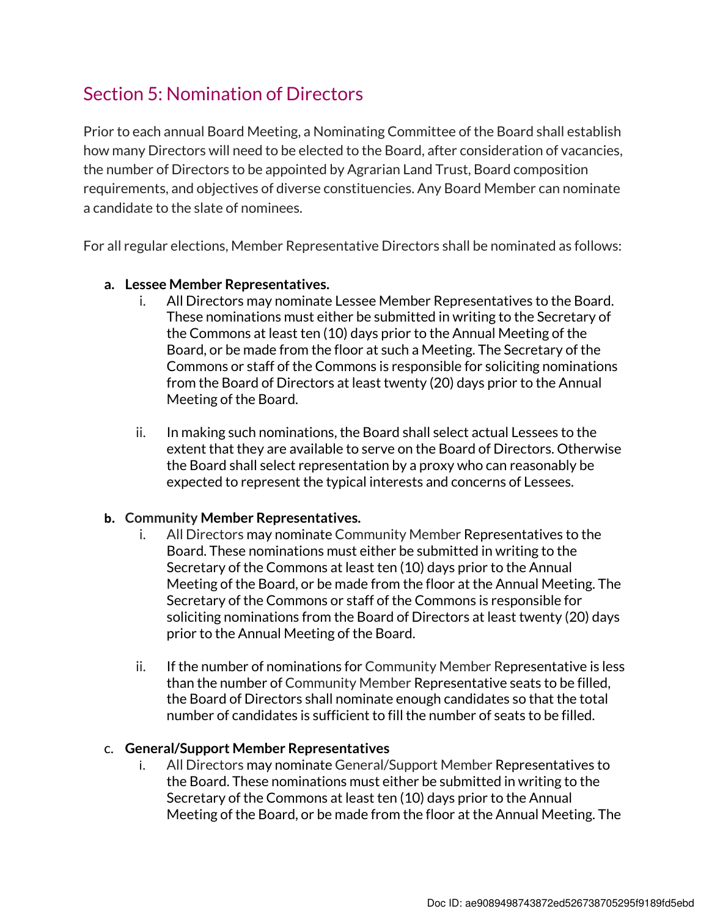### Section 5: Nomination of Directors

Prior to each annual Board Meeting, a Nominating Committee of the Board shall establish how many Directors will need to be elected to the Board, after consideration of vacancies, the number of Directors to be appointed by Agrarian Land Trust, Board composition requirements, and objectives of diverse constituencies. Any Board Member can nominate a candidate to the slate of nominees.

For all regular elections, Member Representative Directors shall be nominated as follows:

#### a. Lessee Member Representatives.

- i. All Directors may nominate Lessee Member Representatives to the Board. These nominations must either be submitted in writing to the Secretary of the Commons at least ten (10) days prior to the Annual Meeting of the Board, or be made from the floor at such a Meeting. The Secretary of the Commons or staff of the Commons is responsible for soliciting nominations from the Board of Directors at least twenty (20) days prior to the Annual Meeting of the Board.
- ii. In making such nominations, the Board shall select actual Lessees to the extent that they are available to serve on the Board of Directors. Otherwise the Board shall select representation by a proxy who can reasonably be expected to represent the typical interests and concerns of Lessees.

#### b. Community Member Representatives.

- i. All Directors may nominate Community Member Representatives to the Board. These nominations must either be submitted in writing to the Secretary of the Commons at least ten (10) days prior to the Annual Meeting of the Board, or be made from the floor at the Annual Meeting. The Secretary of the Commons or staff of the Commons is responsible for soliciting nominations from the Board of Directors at least twenty (20) days prior to the Annual Meeting of the Board.
- ii. If the number of nominations for Community Member Representative is less than the number of Community Member Representative seats to be filled, the Board of Directors shall nominate enough candidates so that the total number of candidates is sufficient to fill the number of seats to be filled.

#### c. General/Support Member Representatives

i. All Directors may nominate General/Support Member Representatives to the Board. These nominations must either be submitted in writing to the Secretary of the Commons at least ten (10) days prior to the Annual Meeting of the Board, or be made from the floor at the Annual Meeting. The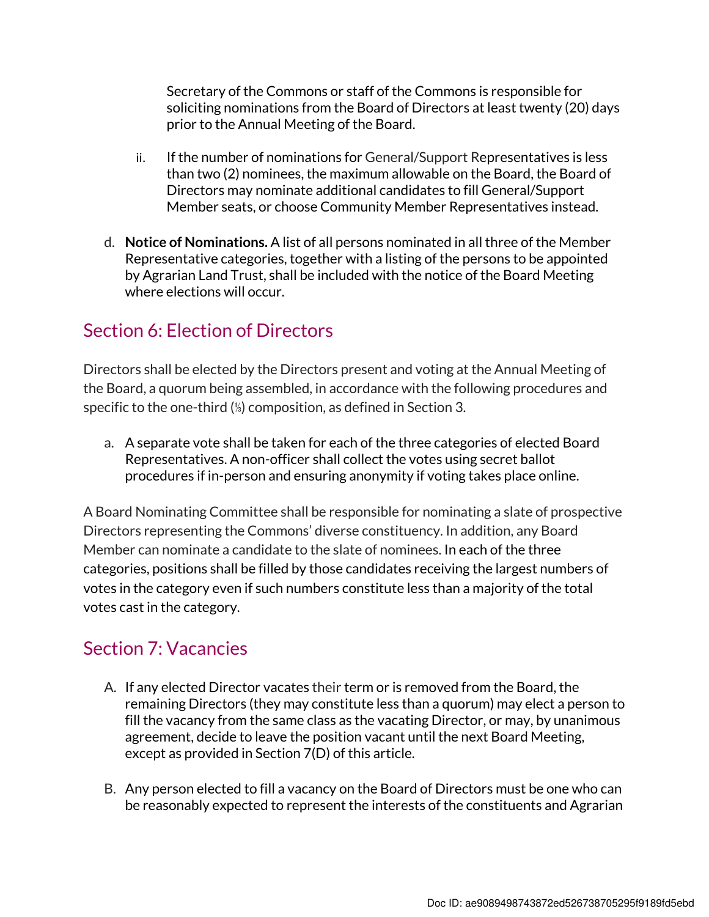Secretary of the Commons or staff of the Commons is responsible for soliciting nominations from the Board of Directors at least twenty (20) days prior to the Annual Meeting of the Board.

- ii. If the number of nominations for General/Support Representatives is less than two (2) nominees, the maximum allowable on the Board, the Board of Directors may nominate additional candidates to fill General/Support Member seats, or choose Community Member Representatives instead.
- d. Notice of Nominations. A list of all persons nominated in all three of the Member Representative categories, together with a listing of the persons to be appointed by Agrarian Land Trust, shall be included with the notice of the Board Meeting where elections will occur.

### Section 6: Election of Directors

Directors shall be elected by the Directors present and voting at the Annual Meeting of the Board, a quorum being assembled, in accordance with the following procedures and specific to the one-third (⅓) composition, as defined in Section 3.

a. A separate vote shall be taken for each of the three categories of elected Board Representatives. A non-officer shall collect the votes using secret ballot procedures if in-person and ensuring anonymity if voting takes place online.

A Board Nominating Committee shall be responsible for nominating a slate of prospective Directors representing the Commons' diverse constituency. In addition, any Board Member can nominate a candidate to the slate of nominees. In each of the three categories, positions shall be filled by those candidates receiving the largest numbers of votes in the category even if such numbers constitute less than a majority of the total votes cast in the category.

#### Section 7: Vacancies

- A. If any elected Director vacates their term or is removed from the Board, the remaining Directors (they may constitute less than a quorum) may elect a person to fill the vacancy from the same class as the vacating Director, or may, by unanimous agreement, decide to leave the position vacant until the next Board Meeting, except as provided in Section 7(D) of this article.
- B. Any person elected to fill a vacancy on the Board of Directors must be one who can be reasonably expected to represent the interests of the constituents and Agrarian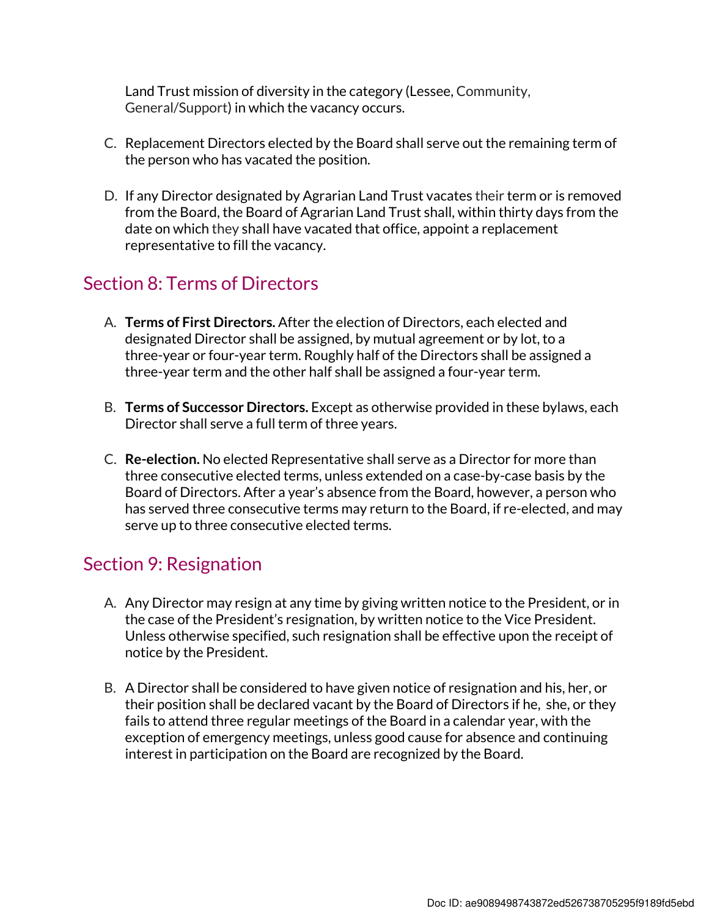Land Trust mission of diversity in the category (Lessee, Community, General/Support) in which the vacancy occurs.

- C. Replacement Directors elected by the Board shall serve out the remaining term of the person who has vacated the position.
- D. If any Director designated by Agrarian Land Trust vacates their term or is removed from the Board, the Board of Agrarian Land Trust shall, within thirty days from the date on which they shall have vacated that office, appoint a replacement representative to fill the vacancy.

#### Section 8: Terms of Directors

- A. Terms of First Directors. After the election of Directors, each elected and designated Director shall be assigned, by mutual agreement or by lot, to a three-year or four-year term. Roughly half of the Directors shall be assigned a three-year term and the other half shall be assigned a four-year term.
- B. Terms of Successor Directors. Except as otherwise provided in these bylaws, each Director shall serve a full term of three years.
- C. Re-election. No elected Representative shall serve as a Director for more than three consecutive elected terms, unless extended on a case-by-case basis by the Board of Directors. After a year's absence from the Board, however, a person who has served three consecutive terms may return to the Board, if re-elected, and may serve up to three consecutive elected terms.

#### Section 9: Resignation

- A. Any Director may resign at any time by giving written notice to the President, or in the case of the President's resignation, by written notice to the Vice President. Unless otherwise specified, such resignation shall be effective upon the receipt of notice by the President.
- B. A Director shall be considered to have given notice of resignation and his, her, or their position shall be declared vacant by the Board of Directors if he, she, or they fails to attend three regular meetings of the Board in a calendar year, with the exception of emergency meetings, unless good cause for absence and continuing interest in participation on the Board are recognized by the Board.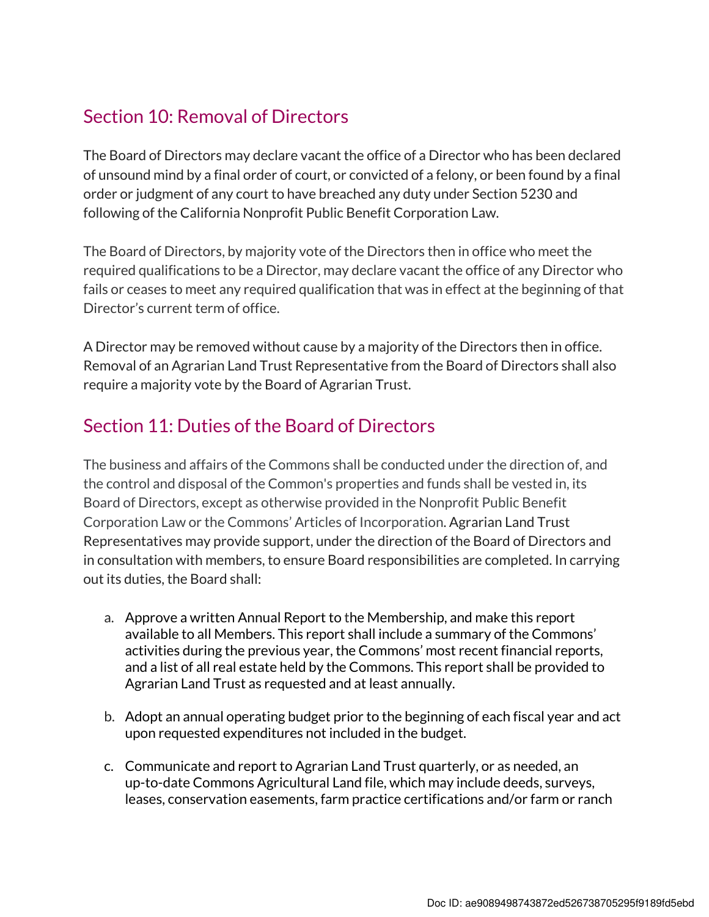#### Section 10: Removal of Directors

The Board of Directors may declare vacant the office of a Director who has been declared of unsound mind by a final order of court, or convicted of a felony, or been found by a final order or judgment of any court to have breached any duty under Section 5230 and following of the California Nonprofit Public Benefit Corporation Law.

The Board of Directors, by majority vote of the Directors then in office who meet the required qualifications to be a Director, may declare vacant the office of any Director who fails or ceases to meet any required qualification that was in effect at the beginning of that Director's current term of office.

A Director may be removed without cause by a majority of the Directors then in office. Removal of an Agrarian Land Trust Representative from the Board of Directors shall also require a majority vote by the Board of Agrarian Trust.

#### Section 11: Duties of the Board of Directors

The business and affairs of the Commons shall be conducted under the direction of, and the control and disposal of the Common's properties and funds shall be vested in, its Board of Directors, except as otherwise provided in the Nonprofit Public Benefit Corporation Law or the Commons' Articles of Incorporation. Agrarian Land Trust Representatives may provide support, under the direction of the Board of Directors and in consultation with members, to ensure Board responsibilities are completed. In carrying out its duties, the Board shall:

- a. Approve a written Annual Report to the Membership, and make this report available to all Members. This report shall include a summary of the Commons' activities during the previous year, the Commons' most recent financial reports, and a list of all real estate held by the Commons. This report shall be provided to Agrarian Land Trust as requested and at least annually.
- b. Adopt an annual operating budget prior to the beginning of each fiscal year and act upon requested expenditures not included in the budget.
- c. Communicate and report to Agrarian Land Trust quarterly, or as needed, an up-to-date Commons Agricultural Land file, which may include deeds, surveys, leases, conservation easements, farm practice certifications and/or farm or ranch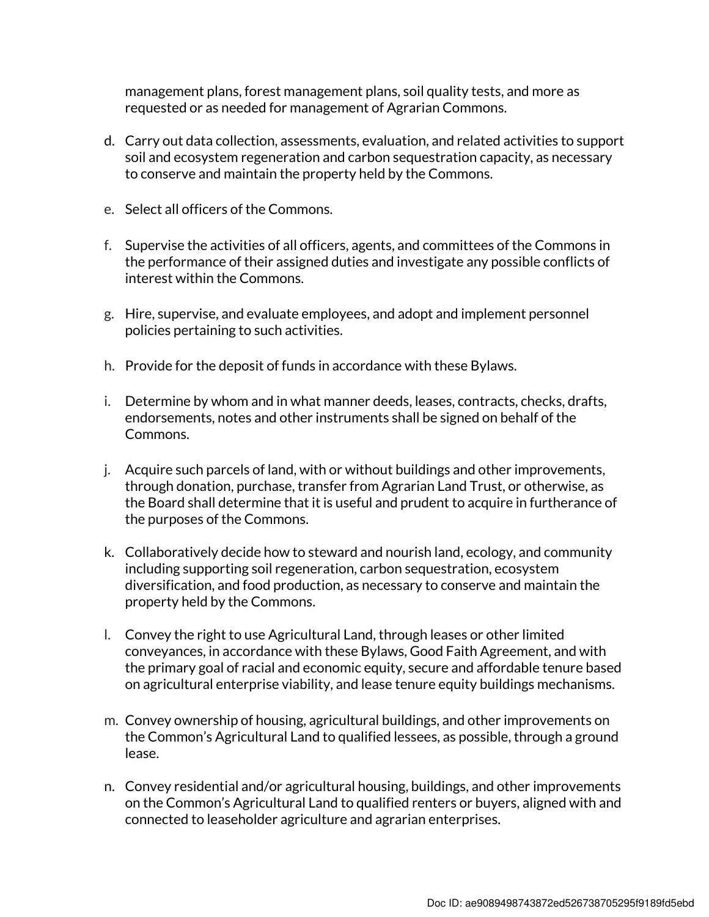management plans, forest management plans, soil quality tests, and more as requested or as needed for management of Agrarian Commons.

- d. Carry out data collection, assessments, evaluation, and related activities to support soil and ecosystem regeneration and carbon sequestration capacity, as necessary to conserve and maintain the property held by the Commons.
- e. Select all officers of the Commons.
- f. Supervise the activities of all officers, agents, and committees of the Commons in the performance of their assigned duties and investigate any possible conflicts of interest within the Commons.
- g. Hire, supervise, and evaluate employees, and adopt and implement personnel policies pertaining to such activities.
- h. Provide for the deposit of funds in accordance with these Bylaws.
- i. Determine by whom and in what manner deeds, leases, contracts, checks, drafts, endorsements, notes and other instruments shall be signed on behalf of the Commons.
- j. Acquire such parcels of land, with or without buildings and other improvements, through donation, purchase, transfer from Agrarian Land Trust, or otherwise, as the Board shall determine that it is useful and prudent to acquire in furtherance of the purposes of the Commons.
- k. Collaboratively decide how to steward and nourish land, ecology, and community including supporting soil regeneration, carbon sequestration, ecosystem diversification, and food production, as necessary to conserve and maintain the property held by the Commons.
- l. Convey the right to use Agricultural Land, through leases or other limited conveyances, in accordance with these Bylaws, Good Faith Agreement, and with the primary goal of racial and economic equity, secure and affordable tenure based on agricultural enterprise viability, and lease tenure equity buildings mechanisms.
- m. Convey ownership of housing, agricultural buildings, and other improvements on the Common's Agricultural Land to qualified lessees, as possible, through a ground lease.
- n. Convey residential and/or agricultural housing, buildings, and other improvements on the Common's Agricultural Land to qualified renters or buyers, aligned with and connected to leaseholder agriculture and agrarian enterprises.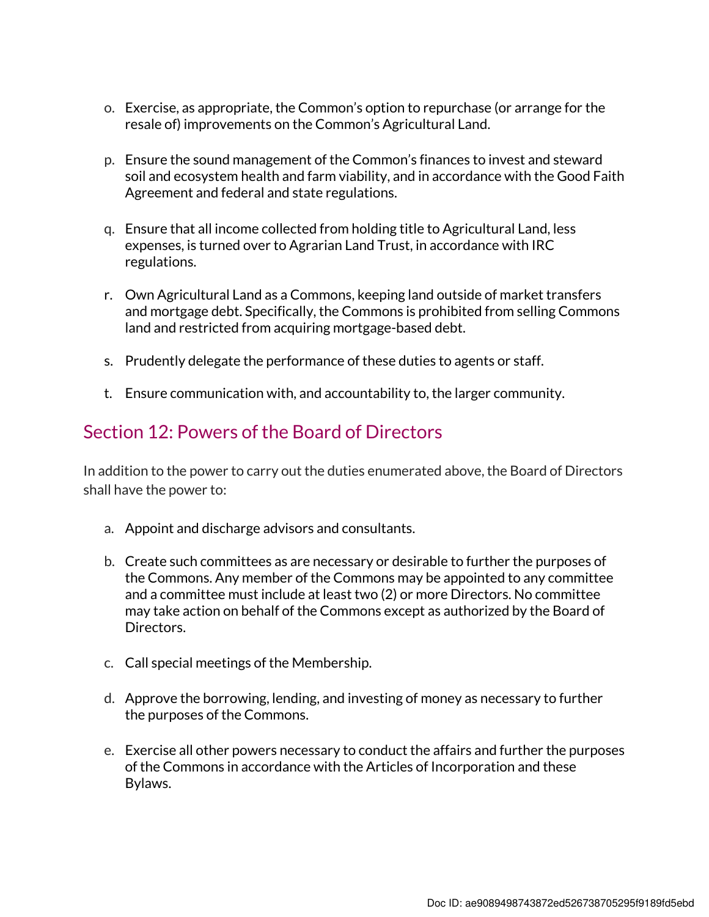- o. Exercise, as appropriate, the Common's option to repurchase (or arrange for the resale of) improvements on the Common's Agricultural Land.
- p. Ensure the sound management of the Common's finances to invest and steward soil and ecosystem health and farm viability, and in accordance with the Good Faith Agreement and federal and state regulations.
- q. Ensure that all income collected from holding title to Agricultural Land, less expenses, is turned over to Agrarian Land Trust, in accordance with IRC regulations.
- r. Own Agricultural Land as a Commons, keeping land outside of market transfers and mortgage debt. Specifically, the Commons is prohibited from selling Commons land and restricted from acquiring mortgage-based debt.
- s. Prudently delegate the performance of these duties to agents or staff.
- t. Ensure communication with, and accountability to, the larger community.

#### Section 12: Powers of the Board of Directors

In addition to the power to carry out the duties enumerated above, the Board of Directors shall have the power to:

- a. Appoint and discharge advisors and consultants.
- b. Create such committees as are necessary or desirable to further the purposes of the Commons. Any member of the Commons may be appointed to any committee and a committee must include at least two (2) or more Directors. No committee may take action on behalf of the Commons except as authorized by the Board of Directors.
- c. Call special meetings of the Membership.
- d. Approve the borrowing, lending, and investing of money as necessary to further the purposes of the Commons.
- e. Exercise all other powers necessary to conduct the affairs and further the purposes of the Commons in accordance with the Articles of Incorporation and these Bylaws.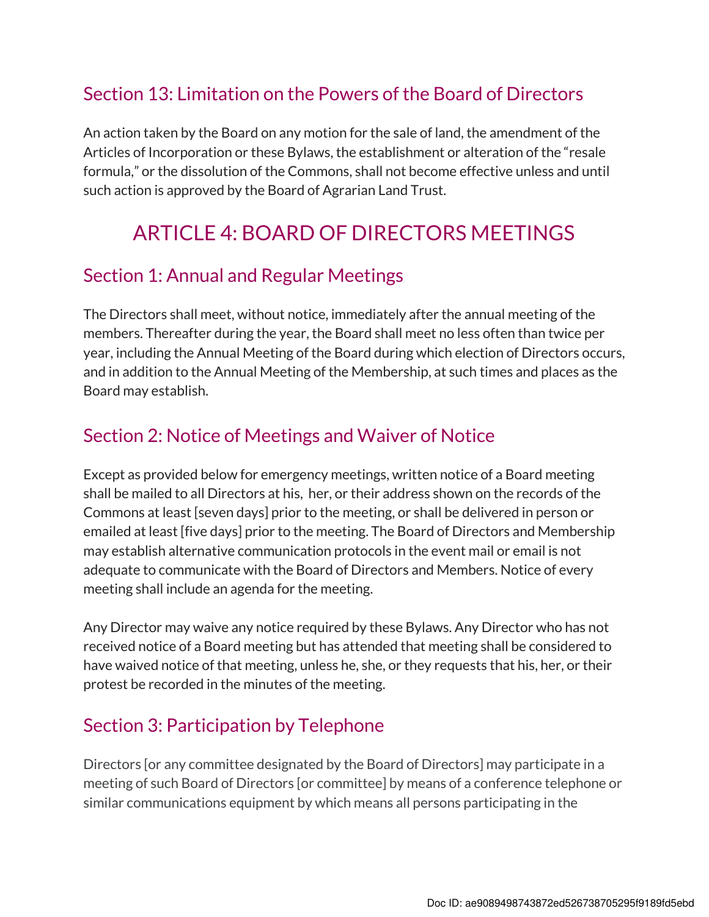#### Section 13: Limitation on the Powers of the Board of Directors

An action taken by the Board on any motion for the sale of land, the amendment of the Articles of Incorporation or these Bylaws, the establishment or alteration of the "resale formula," or the dissolution of the Commons, shall not become effective unless and until such action is approved by the Board of Agrarian Land Trust.

## ARTICLE 4: BOARD OF DIRECTORS MEETINGS

#### Section 1: Annual and Regular Meetings

The Directors shall meet, without notice, immediately after the annual meeting of the members. Thereafter during the year, the Board shall meet no less often than twice per year, including the Annual Meeting of the Board during which election of Directors occurs, and in addition to the Annual Meeting of the Membership, at such times and places as the Board may establish.

#### Section 2: Notice of Meetings and Waiver of Notice

Except as provided below for emergency meetings, written notice of a Board meeting shall be mailed to all Directors at his, her, or their address shown on the records of the Commons at least [seven days] prior to the meeting, or shall be delivered in person or emailed at least [five days] prior to the meeting. The Board of Directors and Membership may establish alternative communication protocols in the event mail or email is not adequate to communicate with the Board of Directors and Members. Notice of every meeting shall include an agenda for the meeting.

Any Director may waive any notice required by these Bylaws. Any Director who has not received notice of a Board meeting but has attended that meeting shall be considered to have waived notice of that meeting, unless he, she, or they requests that his, her, or their protest be recorded in the minutes of the meeting.

## Section 3: Participation by Telephone

Directors [or any committee designated by the Board of Directors] may participate in a meeting of such Board of Directors [or committee] by means of a conference telephone or similar communications equipment by which means all persons participating in the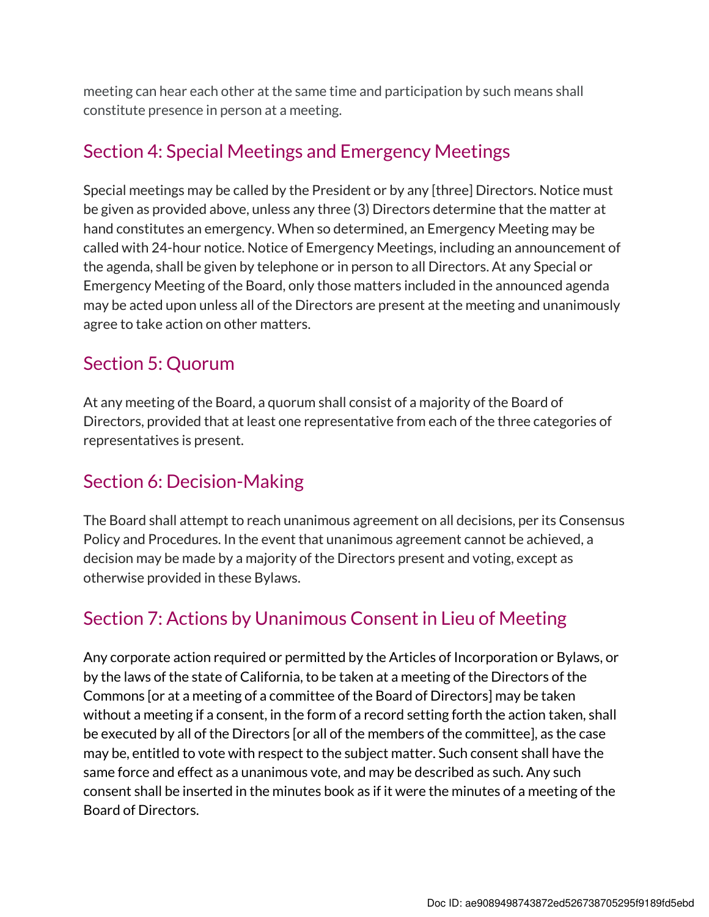meeting can hear each other at the same time and participation by such means shall constitute presence in person at a meeting.

#### Section 4: Special Meetings and Emergency Meetings

Special meetings may be called by the President or by any [three] Directors. Notice must be given as provided above, unless any three (3) Directors determine that the matter at hand constitutes an emergency. When so determined, an Emergency Meeting may be called with 24-hour notice. Notice of Emergency Meetings, including an announcement of the agenda, shall be given by telephone or in person to all Directors. At any Special or Emergency Meeting of the Board, only those matters included in the announced agenda may be acted upon unless all of the Directors are present at the meeting and unanimously agree to take action on other matters.

#### Section 5: Quorum

At any meeting of the Board, a quorum shall consist of a majority of the Board of Directors, provided that at least one representative from each of the three categories of representatives is present.

#### Section 6: Decision-Making

The Board shall attempt to reach unanimous agreement on all decisions, per its Consensus Policy and Procedures. In the event that unanimous agreement cannot be achieved, a decision may be made by a majority of the Directors present and voting, except as otherwise provided in these Bylaws.

#### Section 7: Actions by Unanimous Consent in Lieu of Meeting

Any corporate action required or permitted by the Articles of Incorporation or Bylaws, or by the laws of the state of California, to be taken at a meeting of the Directors of the Commons [or at a meeting of a committee of the Board of Directors] may be taken without a meeting if a consent, in the form of a record setting forth the action taken, shall be executed by all of the Directors [or all of the members of the committee], as the case may be, entitled to vote with respect to the subject matter. Such consent shall have the same force and effect as a unanimous vote, and may be described as such. Any such consent shall be inserted in the minutes book as if it were the minutes of a meeting of the Board of Directors.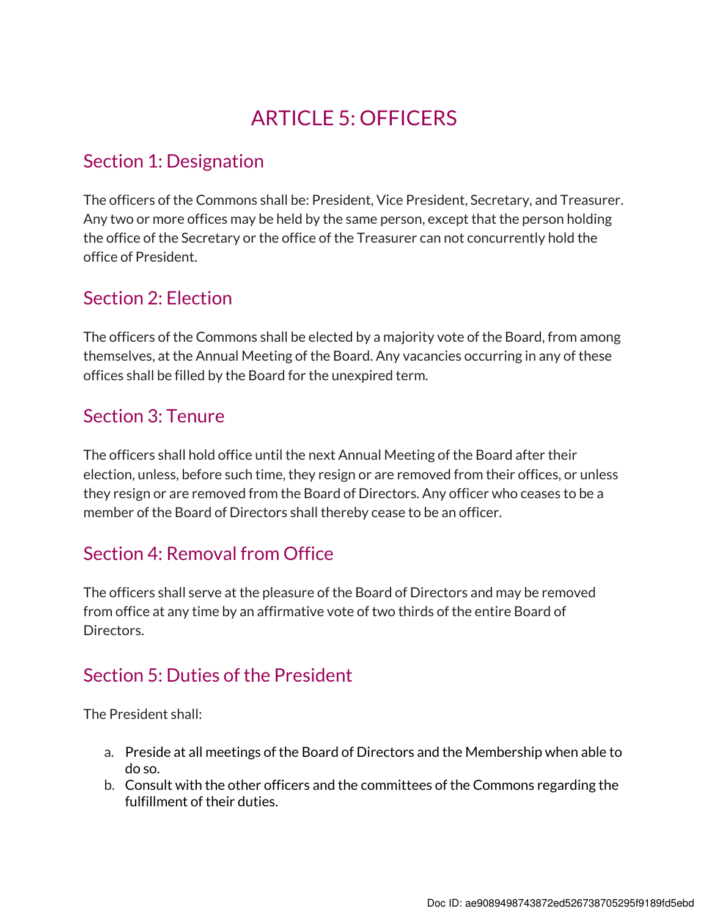## ARTICLE 5: OFFICERS

#### Section 1: Designation

The officers of the Commons shall be: President, Vice President, Secretary, and Treasurer. Any two or more offices may be held by the same person, except that the person holding the office of the Secretary or the office of the Treasurer can not concurrently hold the office of President.

### Section 2: Election

The officers of the Commons shall be elected by a majority vote of the Board, from among themselves, at the Annual Meeting of the Board. Any vacancies occurring in any of these offices shall be filled by the Board for the unexpired term.

### Section 3: Tenure

The officers shall hold office until the next Annual Meeting of the Board after their election, unless, before such time, they resign or are removed from their offices, or unless they resign or are removed from the Board of Directors. Any officer who ceases to be a member of the Board of Directors shall thereby cease to be an officer.

## Section 4: Removal from Office

The officers shall serve at the pleasure of the Board of Directors and may be removed from office at any time by an affirmative vote of two thirds of the entire Board of Directors.

#### Section 5: Duties of the President

The President shall:

- a. Preside at all meetings of the Board of Directors and the Membership when able to do so.
- b. Consult with the other officers and the committees of the Commons regarding the fulfillment of their duties.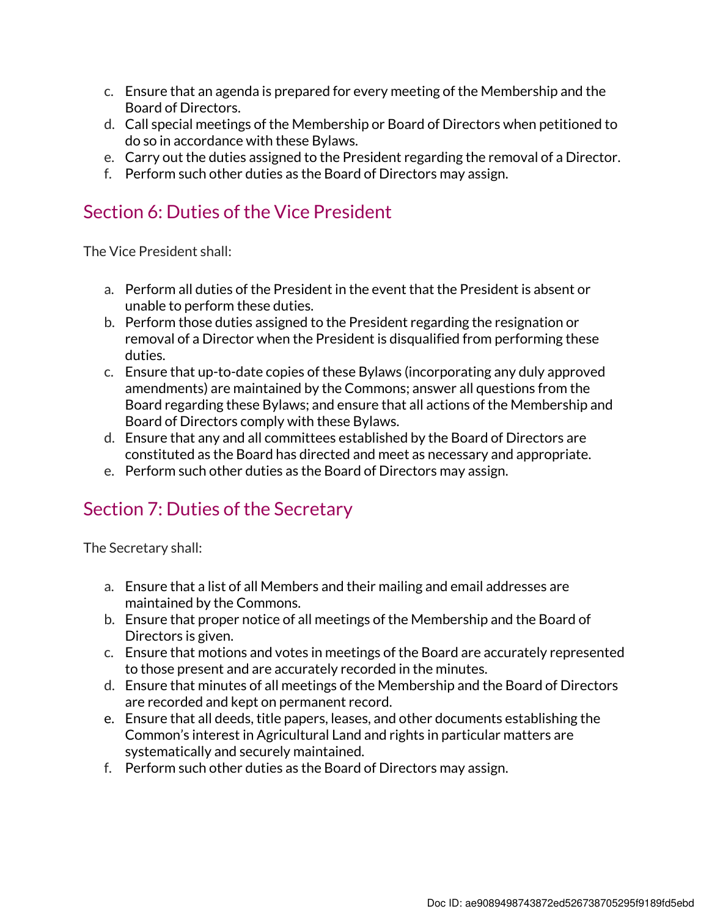- c. Ensure that an agenda is prepared for every meeting of the Membership and the Board of Directors.
- d. Call special meetings of the Membership or Board of Directors when petitioned to do so in accordance with these Bylaws.
- e. Carry out the duties assigned to the President regarding the removal of a Director.
- f. Perform such other duties as the Board of Directors may assign.

#### Section 6: Duties of the Vice President

The Vice President shall:

- a. Perform all duties of the President in the event that the President is absent or unable to perform these duties.
- b. Perform those duties assigned to the President regarding the resignation or removal of a Director when the President is disqualified from performing these duties.
- c. Ensure that up-to-date copies of these Bylaws (incorporating any duly approved amendments) are maintained by the Commons; answer all questions from the Board regarding these Bylaws; and ensure that all actions of the Membership and Board of Directors comply with these Bylaws.
- d. Ensure that any and all committees established by the Board of Directors are constituted as the Board has directed and meet as necessary and appropriate.
- e. Perform such other duties as the Board of Directors may assign.

#### Section 7: Duties of the Secretary

The Secretary shall:

- a. Ensure that a list of all Members and their mailing and email addresses are maintained by the Commons.
- b. Ensure that proper notice of all meetings of the Membership and the Board of Directors is given.
- c. Ensure that motions and votes in meetings of the Board are accurately represented to those present and are accurately recorded in the minutes.
- d. Ensure that minutes of all meetings of the Membership and the Board of Directors are recorded and kept on permanent record.
- e. Ensure that all deeds, title papers, leases, and other documents establishing the Common's interest in Agricultural Land and rights in particular matters are systematically and securely maintained.
- f. Perform such other duties as the Board of Directors may assign.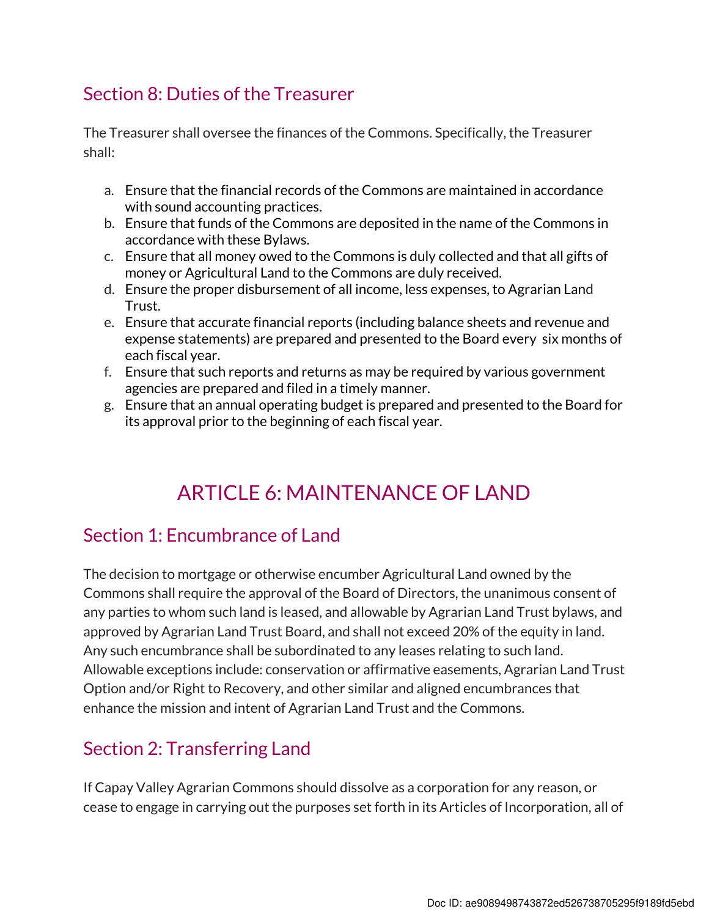### Section 8: Duties of the Treasurer

The Treasurer shall oversee the finances of the Commons. Specifically, the Treasurer shall:

- a. Ensure that the financial records of the Commons are maintained in accordance with sound accounting practices.
- b. Ensure that funds of the Commons are deposited in the name of the Commons in accordance with these Bylaws.
- c. Ensure that all money owed to the Commons is duly collected and that all gifts of money or Agricultural Land to the Commons are duly received.
- d. Ensure the proper disbursement of all income, less expenses, to Agrarian Land Trust.
- e. Ensure that accurate financial reports (including balance sheets and revenue and expense statements) are prepared and presented to the Board every six months of each fiscal year.
- f. Ensure that such reports and returns as may be required by various government agencies are prepared and filed in a timely manner.
- g. Ensure that an annual operating budget is prepared and presented to the Board for its approval prior to the beginning of each fiscal year.

## ARTICLE 6: MAINTENANCE OF LAND

## Section 1: Encumbrance of Land

The decision to mortgage or otherwise encumber Agricultural Land owned by the Commons shall require the approval of the Board of Directors, the unanimous consent of any parties to whom such land is leased, and allowable by Agrarian Land Trust bylaws, and approved by Agrarian Land Trust Board, and shall not exceed 20% of the equity in land. Any such encumbrance shall be subordinated to any leases relating to such land. Allowable exceptions include: conservation or affirmative easements, Agrarian Land Trust Option and/or Right to Recovery, and other similar and aligned encumbrances that enhance the mission and intent of Agrarian Land Trust and the Commons.

## Section 2: Transferring Land

If Capay Valley Agrarian Commons should dissolve as a corporation for any reason, or cease to engage in carrying out the purposes set forth in its Articles of Incorporation, all of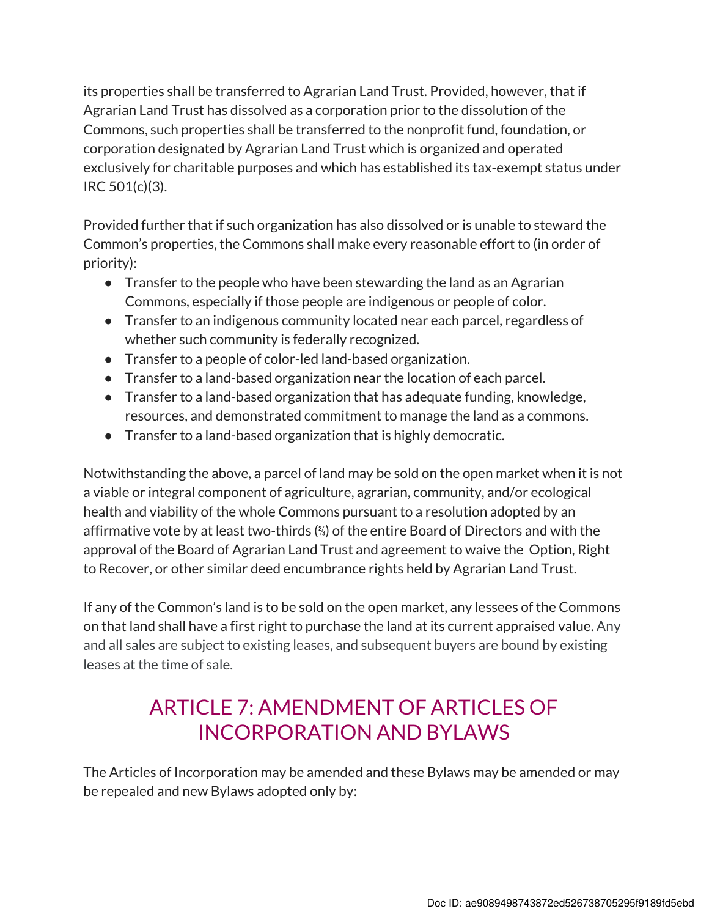its properties shall be transferred to Agrarian Land Trust. Provided, however, that if Agrarian Land Trust has dissolved as a corporation prior to the dissolution of the Commons, such properties shall be transferred to the nonprofit fund, foundation, or corporation designated by Agrarian Land Trust which is organized and operated exclusively for charitable purposes and which has established its tax-exempt status under IRC 501(c)(3).

Provided further that if such organization has also dissolved or is unable to steward the Common's properties, the Commons shall make every reasonable effort to (in order of priority):

- Transfer to the people who have been stewarding the land as an Agrarian Commons, especially if those people are indigenous or people of color.
- Transfer to an indigenous community located near each parcel, regardless of whether such community is federally recognized.
- Transfer to a people of color-led land-based organization.
- Transfer to a land-based organization near the location of each parcel.
- Transfer to a land-based organization that has adequate funding, knowledge, resources, and demonstrated commitment to manage the land as a commons.
- Transfer to a land-based organization that is highly democratic.

Notwithstanding the above, a parcel of land may be sold on the open market when it is not a viable or integral component of agriculture, agrarian, community, and/or ecological health and viability of the whole Commons pursuant to a resolution adopted by an affirmative vote by at least two-thirds (⅔) of the entire Board of Directors and with the approval of the Board of Agrarian Land Trust and agreement to waive the Option, Right to Recover, or other similar deed encumbrance rights held by Agrarian Land Trust.

If any of the Common's land is to be sold on the open market, any lessees of the Commons on that land shall have a first right to purchase the land at its current appraised value. Any and all sales are subject to existing leases, and subsequent buyers are bound by existing leases at the time of sale.

## ARTICLE 7: AMENDMENT OF ARTICLES OF INCORPORATION AND BYLAWS

The Articles of Incorporation may be amended and these Bylaws may be amended or may be repealed and new Bylaws adopted only by: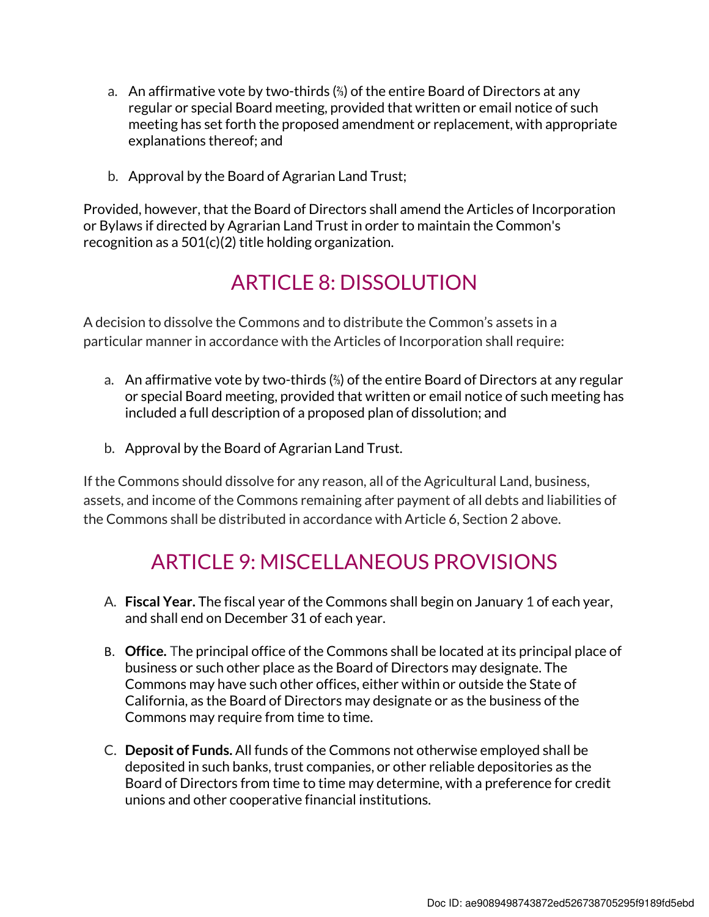- a. An affirmative vote by two-thirds (⅔) of the entire Board of Directors at any regular or special Board meeting, provided that written or email notice of such meeting has set forth the proposed amendment or replacement, with appropriate explanations thereof; and
- b. Approval by the Board of Agrarian Land Trust;

Provided, however, that the Board of Directors shall amend the Articles of Incorporation or Bylaws if directed by Agrarian Land Trust in order to maintain the Common's recognition as a 501(c)(2) title holding organization.

## ARTICLE 8: DISSOLUTION

A decision to dissolve the Commons and to distribute the Common's assets in a particular manner in accordance with the Articles of Incorporation shall require:

- a. An affirmative vote by two-thirds (⅔) of the entire Board of Directors at any regular or special Board meeting, provided that written or email notice of such meeting has included a full description of a proposed plan of dissolution; and
- b. Approval by the Board of Agrarian Land Trust.

If the Commons should dissolve for any reason, all of the Agricultural Land, business, assets, and income of the Commons remaining after payment of all debts and liabilities of the Commons shall be distributed in accordance with Article 6, Section 2 above.

## ARTICLE 9: MISCELLANEOUS PROVISIONS

- A. Fiscal Year. The fiscal year of the Commons shall begin on January 1 of each year, and shall end on December 31 of each year.
- B. Office. The principal office of the Commons shall be located at its principal place of business or such other place as the Board of Directors may designate. The Commons may have such other offices, either within or outside the State of California, as the Board of Directors may designate or as the business of the Commons may require from time to time.
- C. Deposit of Funds. All funds of the Commons not otherwise employed shall be deposited in such banks, trust companies, or other reliable depositories as the Board of Directors from time to time may determine, with a preference for credit unions and other cooperative financial institutions.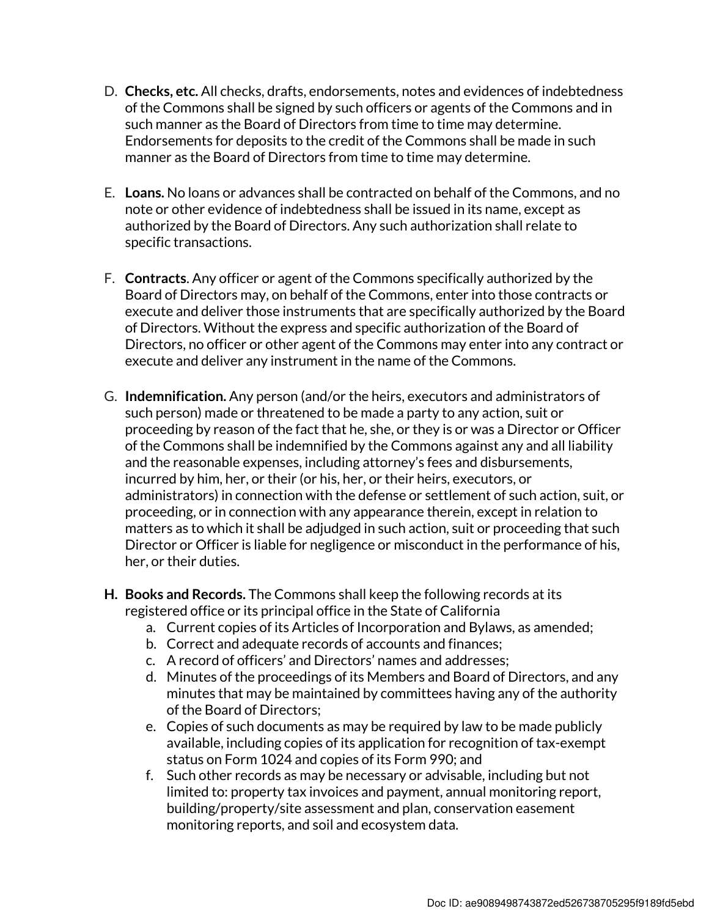- D. Checks, etc. All checks, drafts, endorsements, notes and evidences of indebtedness of the Commons shall be signed by such officers or agents of the Commons and in such manner as the Board of Directors from time to time may determine. Endorsements for deposits to the credit of the Commons shall be made in such manner as the Board of Directors from time to time may determine.
- E. Loans. No loans or advances shall be contracted on behalf of the Commons, and no note or other evidence of indebtedness shall be issued in its name, except as authorized by the Board of Directors. Any such authorization shall relate to specific transactions.
- F. Contracts. Any officer or agent of the Commons specifically authorized by the Board of Directors may, on behalf of the Commons, enter into those contracts or execute and deliver those instruments that are specifically authorized by the Board of Directors. Without the express and specific authorization of the Board of Directors, no officer or other agent of the Commons may enter into any contract or execute and deliver any instrument in the name of the Commons.
- G. Indemnification. Any person (and/or the heirs, executors and administrators of such person) made or threatened to be made a party to any action, suit or proceeding by reason of the fact that he, she, or they is or was a Director or Officer of the Commons shall be indemnified by the Commons against any and all liability and the reasonable expenses, including attorney's fees and disbursements, incurred by him, her, or their (or his, her, or their heirs, executors, or administrators) in connection with the defense or settlement of such action, suit, or proceeding, or in connection with any appearance therein, except in relation to matters as to which it shall be adjudged in such action, suit or proceeding that such Director or Officer is liable for negligence or misconduct in the performance of his, her, or their duties.
- H. Books and Records. The Commons shall keep the following records at its registered office or its principal office in the State of California
	- a. Current copies of its Articles of Incorporation and Bylaws, as amended;
	- b. Correct and adequate records of accounts and finances;
	- c. A record of officers' and Directors' names and addresses;
	- d. Minutes of the proceedings of its Members and Board of Directors, and any minutes that may be maintained by committees having any of the authority of the Board of Directors;
	- e. Copies of such documents as may be required by law to be made publicly available, including copies of its application for recognition of tax-exempt status on Form 1024 and copies of its Form 990; and
	- f. Such other records as may be necessary or advisable, including but not limited to: property tax invoices and payment, annual monitoring report, building/property/site assessment and plan, conservation easement monitoring reports, and soil and ecosystem data.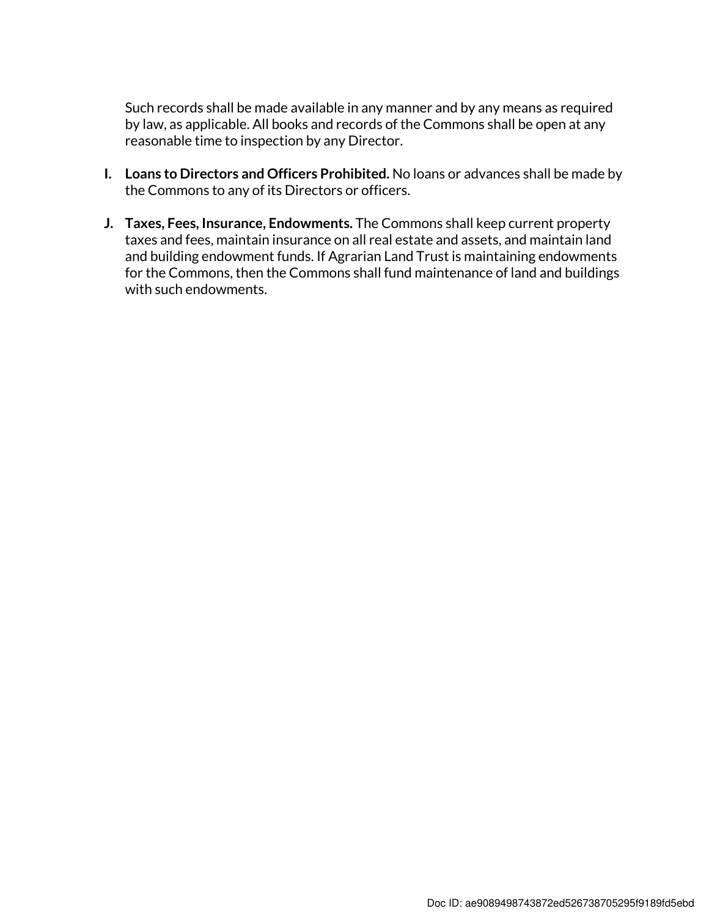Such records shall be made available in any manner and by any means as required by law, as applicable. All books and records of the Commons shall be open at any reasonable time to inspection by any Director.

- I. Loans to Directors and Officers Prohibited. No loans or advances shall be made by the Commons to any of its Directors or officers.
- J. Taxes, Fees, Insurance, Endowments. The Commons shall keep current property taxes and fees, maintain insurance on all real estate and assets, and maintain land and building endowment funds. If Agrarian Land Trust is maintaining endowments for the Commons, then the Commons shall fund maintenance of land and buildings with such endowments.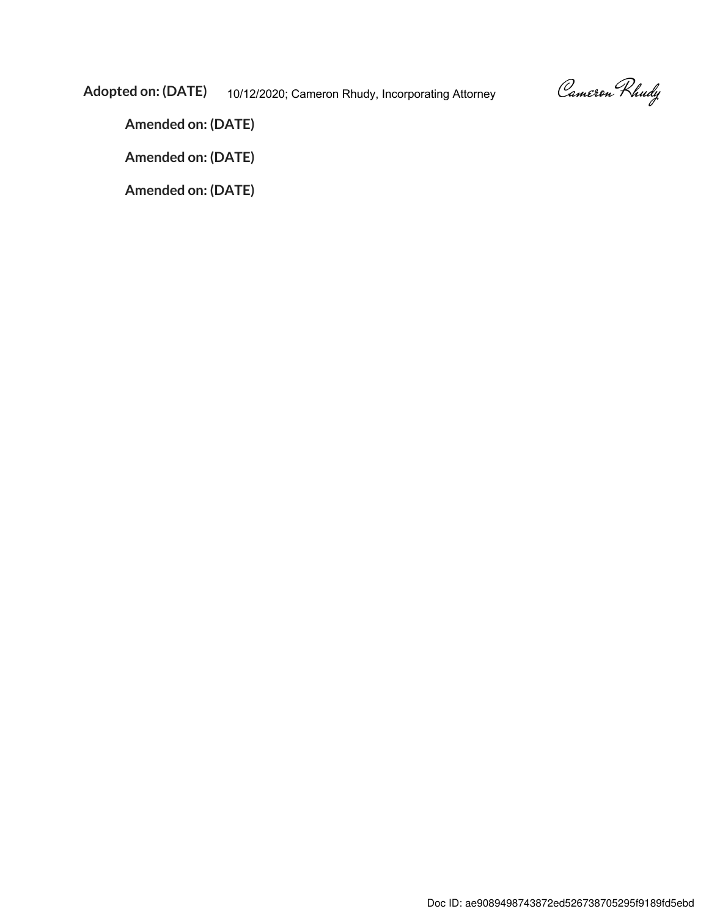Cameron Rhudy

Adopted on: (DATE) 10/12/2020; Cameron Rhudy, Incorporating Attorney

Amended on: (DATE)

Amended on: (DATE)

Amended on: (DATE)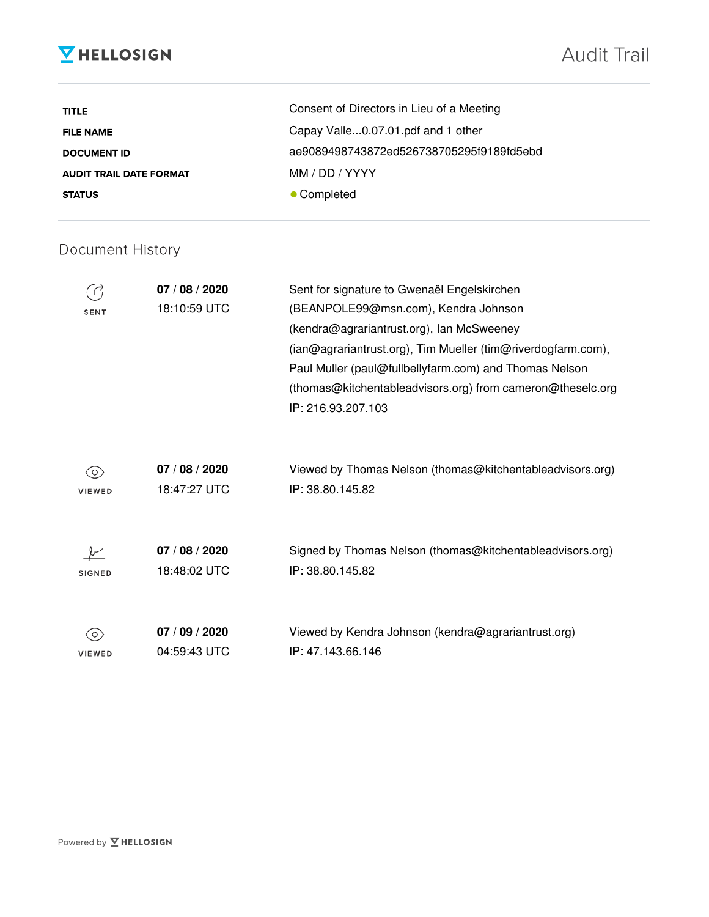## **V** HELLOSIGN

| <b>TITLE</b>                   | Consent of Directors in Lieu of a Meeting |
|--------------------------------|-------------------------------------------|
| <b>FILE NAME</b>               | Capay Valle0.07.01.pdf and 1 other        |
| <b>DOCUMENT ID</b>             | ae9089498743872ed526738705295f9189fd5ebd  |
| <b>AUDIT TRAIL DATE FORMAT</b> | MM / DD / YYYY                            |
| <b>STATUS</b>                  | • Completed                               |

#### Document History

| <b>SENT</b>   | 07 / 08 / 2020<br>18:10:59 UTC | Sent for signature to Gwenaël Engelskirchen<br>(BEANPOLE99@msn.com), Kendra Johnson<br>(kendra@agrariantrust.org), Ian McSweeney<br>(ian@agrariantrust.org), Tim Mueller (tim@riverdogfarm.com),<br>Paul Muller (paul@fullbellyfarm.com) and Thomas Nelson<br>(thomas@kitchentableadvisors.org) from cameron@theselc.org<br>IP: 216.93.207.103 |
|---------------|--------------------------------|------------------------------------------------------------------------------------------------------------------------------------------------------------------------------------------------------------------------------------------------------------------------------------------------------------------------------------------------|
| O             | 07 / 08 / 2020                 | Viewed by Thomas Nelson (thomas@kitchentableadvisors.org)                                                                                                                                                                                                                                                                                      |
| <b>VIEWED</b> | 18:47:27 UTC                   | IP: 38.80.145.82                                                                                                                                                                                                                                                                                                                               |
| <b>SIGNED</b> | 07 / 08 / 2020<br>18:48:02 UTC | Signed by Thomas Nelson (thomas@kitchentableadvisors.org)<br>IP: 38.80.145.82                                                                                                                                                                                                                                                                  |
| O,            | 07 / 09 / 2020                 | Viewed by Kendra Johnson (kendra@agrariantrust.org)                                                                                                                                                                                                                                                                                            |
| <b>VIEWED</b> | 04:59:43 UTC                   | IP: 47.143.66.146                                                                                                                                                                                                                                                                                                                              |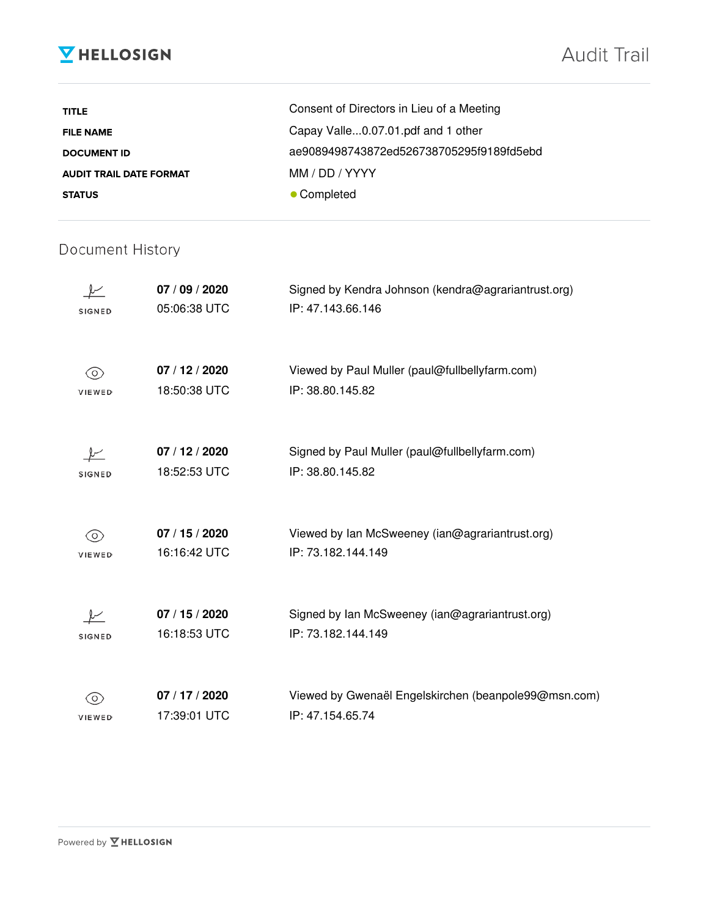## **V** HELLOSIGN

| <b>TITLE</b>                   | Consent of Directors in Lieu of a Meeting |
|--------------------------------|-------------------------------------------|
| <b>FILE NAME</b>               | Capay Valle0.07.01.pdf and 1 other        |
| <b>DOCUMENT ID</b>             | ae9089498743872ed526738705295f9189fd5ebd  |
| <b>AUDIT TRAIL DATE FORMAT</b> | MM / DD / YYYY                            |
| <b>STATUS</b>                  | • Completed                               |

#### Document History

| <b>SIGNED</b> | 07 / 09 / 2020<br>05:06:38 UTC | Signed by Kendra Johnson (kendra@agrariantrust.org)<br>IP: 47.143.66.146 |
|---------------|--------------------------------|--------------------------------------------------------------------------|
| O)<br>VIEWED  | 07 / 12 / 2020<br>18:50:38 UTC | Viewed by Paul Muller (paul@fullbellyfarm.com)<br>IP: 38.80.145.82       |
| <b>SIGNED</b> | 07/12/2020<br>18:52:53 UTC     | Signed by Paul Muller (paul@fullbellyfarm.com)<br>IP: 38.80.145.82       |
| (O)<br>VIEWED | 07 / 15 / 2020<br>16:16:42 UTC | Viewed by Ian McSweeney (ian@agrariantrust.org)<br>IP: 73.182.144.149    |
| <b>SIGNED</b> | 07 / 15 / 2020<br>16:18:53 UTC | Signed by Ian McSweeney (ian@agrariantrust.org)<br>IP: 73.182.144.149    |
| VIEWED        | 07 / 17 / 2020<br>17:39:01 UTC | Viewed by Gwenaël Engelskirchen (beanpole99@msn.com)<br>IP: 47.154.65.74 |